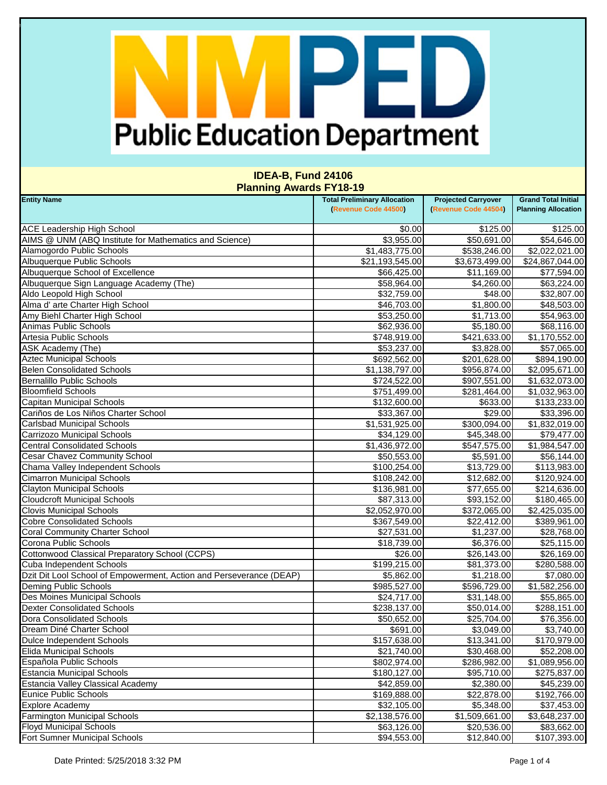### PED I **Public Education Department**

| <b>Entity Name</b>                                                  | <b>Total Preliminary Allocation</b> | <b>Projected Carryover</b> | <b>Grand Total Initial</b> |
|---------------------------------------------------------------------|-------------------------------------|----------------------------|----------------------------|
|                                                                     | (Revenue Code 44500)                | (Revenue Code 44504)       | <b>Planning Allocation</b> |
| <b>ACE Leadership High School</b>                                   | \$0.00                              | \$125.00                   | \$125.00                   |
| AIMS @ UNM (ABQ Institute for Mathematics and Science)              | \$3,955.00                          |                            |                            |
|                                                                     |                                     | \$50,691.00                | \$54,646.00                |
| Alamogordo Public Schools                                           | \$1,483,775.00                      | \$538,246.00               | \$2,022,021.00             |
| Albuquerque Public Schools                                          | \$21,193,545.00                     | \$3,673,499.00             | \$24,867,044.00            |
| Albuquerque School of Excellence                                    | \$66,425.00                         | \$11,169.00                | \$77,594.00                |
| Albuquerque Sign Language Academy (The)                             | \$58,964.00                         | \$4,260.00                 | \$63,224.00                |
| Aldo Leopold High School                                            | \$32,759.00                         | \$48.00                    | \$32,807.00                |
| Alma d' arte Charter High School                                    | \$46,703.00                         | \$1,800.00                 | \$48,503.00                |
| Amy Biehl Charter High School                                       | \$53,250.00                         | \$1,713.00                 | \$54,963.00                |
| <b>Animas Public Schools</b>                                        | \$62,936.00                         | \$5,180.00                 | \$68,116.00                |
| Artesia Public Schools                                              | \$748,919.00                        | \$421,633.00               | \$1,170,552.00             |
| ASK Academy (The)                                                   | \$53,237.00                         | \$3,828.00                 | \$57,065.00                |
| <b>Aztec Municipal Schools</b>                                      | \$692,562.00                        | \$201,628.00               | \$894,190.00               |
| <b>Belen Consolidated Schools</b>                                   | \$1,138,797.00                      | \$956,874.00               | \$2,095,671.00             |
| <b>Bernalillo Public Schools</b>                                    | \$724,522.00                        | \$907,551.00               | \$1,632,073.00             |
| <b>Bloomfield Schools</b>                                           | \$751,499.00                        | \$281,464.00               | \$1,032,963.00             |
| Capitan Municipal Schools                                           | \$132,600.00                        | \$633.00                   | \$133,233.00               |
| Cariños de Los Niños Charter School                                 | \$33,367.00                         | \$29.00                    | \$33,396.00                |
| <b>Carlsbad Municipal Schools</b>                                   | \$1,531,925.00                      | \$300,094.00               | \$1,832,019.00             |
| Carrizozo Municipal Schools                                         | \$34,129.00                         | \$45,348.00                | \$79,477.00                |
| <b>Central Consolidated Schools</b>                                 | \$1,436,972.00                      | \$547,575.00               | \$1,984,547.00             |
| <b>Cesar Chavez Community School</b>                                | \$50,553.00                         | \$5,591.00                 | \$56,144.00                |
| Chama Valley Independent Schools                                    | \$100,254.00                        | \$13,729.00                | \$113,983.00               |
| <b>Cimarron Municipal Schools</b>                                   | \$108,242.00                        | \$12,682.00                | \$120,924.00               |
| <b>Clayton Municipal Schools</b>                                    | \$136,981.00                        | \$77,655.00                | \$214,636.00               |
| <b>Cloudcroft Municipal Schools</b>                                 | \$87,313.00                         | \$93,152.00                | \$180,465.00               |
| <b>Clovis Municipal Schools</b>                                     | \$2,052,970.00                      | \$372,065.00               | \$2,425,035.00             |
| <b>Cobre Consolidated Schools</b>                                   | \$367,549.00                        | \$22,412.00                | \$389,961.00               |
| <b>Coral Community Charter School</b>                               | \$27,531.00                         | \$1,237.00                 | \$28,768.00                |
| Corona Public Schools                                               | \$18,739.00                         | \$6,376.00                 | \$25,115.00                |
| Cottonwood Classical Preparatory School (CCPS)                      | \$26.00                             | \$26,143.00                | \$26,169.00                |
| <b>Cuba Independent Schools</b>                                     | \$199,215.00                        | \$81,373.00                | \$280,588.00               |
| Dzit Dit Lool School of Empowerment, Action and Perseverance (DEAP) | \$5,862.00                          | \$1,218.00                 | \$7,080.00                 |
| <b>Deming Public Schools</b>                                        | \$985,527.00                        | \$596,729.00               | \$1,582,256.00             |
| Des Moines Municipal Schools                                        | \$24,717.00                         | \$31,148.00                | \$55,865.00                |
| <b>Dexter Consolidated Schools</b>                                  | \$238,137.00                        | \$50,014.00                | \$288,151.00               |
| Dora Consolidated Schools                                           | \$50,652.00                         | \$25,704.00                | \$76,356.00                |
| Dream Diné Charter School                                           | \$691.00                            | \$3,049.00                 | \$3,740.00                 |
| <b>Dulce Independent Schools</b>                                    | \$157,638.00                        | \$13,341.00                | \$170,979.00               |
| <b>Elida Municipal Schools</b>                                      | \$21,740.00                         | \$30,468.00                | \$52,208.00                |
| Española Public Schools                                             | \$802,974.00                        | \$286,982.00               | \$1,089,956.00             |
| <b>Estancia Municipal Schools</b>                                   | \$180,127.00                        | \$95,710.00                | \$275,837.00               |
| <b>Estancia Valley Classical Academy</b>                            | \$42,859.00                         | \$2,380.00                 | \$45,239.00                |
| <b>Eunice Public Schools</b>                                        | \$169,888.00                        | \$22,878.00                | \$192,766.00               |
| <b>Explore Academy</b>                                              | \$32,105.00                         | \$5,348.00                 | \$37,453.00                |
| <b>Farmington Municipal Schools</b>                                 | \$2,138,576.00                      | \$1,509,661.00             | \$3,648,237.00             |
| <b>Floyd Municipal Schools</b>                                      | \$63,126.00                         | \$20,536.00                | \$83,662.00                |
| Fort Sumner Municipal Schools                                       | \$94,553.00                         | \$12,840.00                | \$107,393.00               |
|                                                                     |                                     |                            |                            |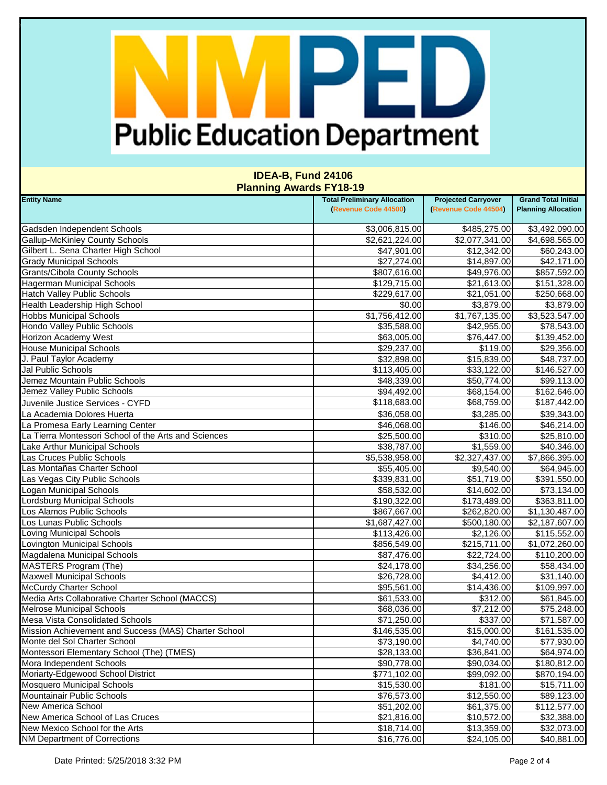# PED **Public Education Department**

| (Revenue Code 44500)<br>(Revenue Code 44504)<br><b>Planning Allocation</b><br>\$485,275.00<br>Gadsden Independent Schools<br>\$3,006,815.00<br><b>Gallup-McKinley County Schools</b><br>\$2,621,224.00<br>\$2,077,341.00<br>Gilbert L. Sena Charter High School<br>\$12,342.00<br>\$47,901.00<br><b>Grady Municipal Schools</b><br>\$27,274.00<br>\$14,897.00<br><b>Grants/Cibola County Schools</b><br>\$49,976.00<br>\$807,616.00<br><b>Hagerman Municipal Schools</b><br>\$129,715.00<br>\$21,613.00<br><b>Hatch Valley Public Schools</b><br>\$229,617.00<br>\$21,051.00<br>\$0.00<br>Health Leadership High School<br>\$3,879.00<br>\$1,756,412.00<br>\$1,767,135.00<br><b>Hobbs Municipal Schools</b><br>\$35,588.00<br>Hondo Valley Public Schools<br>\$42,955.00<br>\$76,447.00<br>Horizon Academy West<br>\$63,005.00<br><b>House Municipal Schools</b><br>\$29,237.00<br>\$119.00<br>J. Paul Taylor Academy<br>\$32,898.00<br>\$15,839.00<br>Jal Public Schools<br>\$113,405.00<br>\$33,122.00<br>\$48,339.00<br>\$50,774.00<br>Jemez Mountain Public Schools<br>Jemez Valley Public Schools<br>\$94,492.00<br>\$68,154.00<br>\$118,683.00<br>\$68,759.00<br>Juvenile Justice Services - CYFD<br>La Academia Dolores Huerta<br>\$36,058.00<br>\$3,285.00<br>La Promesa Early Learning Center<br>\$46,068.00<br>\$146.00<br>La Tierra Montessori School of the Arts and Sciences<br>\$25,500.00<br>\$310.00<br>Lake Arthur Municipal Schools<br>\$38,787.00<br>\$1,559.00<br>Las Cruces Public Schools<br>\$5,538,958.00<br>\$2,327,437.00<br>Las Montañas Charter School<br>\$55,405.00<br>\$9,540.00<br>\$51,719.00<br>Las Vegas City Public Schools<br>\$339,831.00<br>Logan Municipal Schools<br>\$14,602.00<br>\$58,532.00<br>Lordsburg Municipal Schools<br>\$190,322.00<br>\$173,489.00<br>Los Alamos Public Schools<br>\$867,667.00<br>\$262,820.00<br>Los Lunas Public Schools<br>\$1,687,427.00<br>\$500,180.00<br>Loving Municipal Schools<br>\$2,126.00<br>\$113,426.00<br>Lovington Municipal Schools<br>\$215,711.00<br>\$856,549.00<br>Magdalena Municipal Schools<br>\$87,476.00<br>\$22,724.00<br>MASTERS Program (The)<br>\$24,178.00<br>\$34,256.00<br><b>Maxwell Municipal Schools</b><br>\$26,728.00<br>\$4,412.00<br><b>McCurdy Charter School</b><br>\$14,436.00<br>\$95,561.00<br>\$312.00<br>Media Arts Collaborative Charter School (MACCS)<br>\$61,533.00<br><b>Melrose Municipal Schools</b><br>\$7,212.00<br>\$68,036.00<br><b>Mesa Vista Consolidated Schools</b><br>\$71,250.00<br>\$337.00<br>Mission Achievement and Success (MAS) Charter School<br>\$146,535.00<br>\$15,000.00<br>Monte del Sol Charter School<br>\$73,190.00<br>\$4,740.00<br>\$28,133.00<br>Montessori Elementary School (The) (TMES)<br>\$36,841.00<br>Mora Independent Schools<br>\$90,778.00<br>\$90,034.00<br>Moriarty-Edgewood School District<br>\$99,092.00<br>\$771,102.00<br>\$15,530.00<br>\$181.00<br><b>Mosquero Municipal Schools</b><br>Mountainair Public Schools<br>\$12,550.00<br>\$76,573.00<br><b>New America School</b><br>\$51,202.00<br>\$61,375.00<br>New America School of Las Cruces<br>\$21,816.00<br>\$10,572.00<br>New Mexico School for the Arts<br>\$18,714.00<br>\$13,359.00<br><b>NM Department of Corrections</b><br>\$16,776.00<br>\$24,105.00 | <b>Entity Name</b> | <b>Total Preliminary Allocation</b> | <b>Projected Carryover</b> | <b>Grand Total Initial</b> |
|------------------------------------------------------------------------------------------------------------------------------------------------------------------------------------------------------------------------------------------------------------------------------------------------------------------------------------------------------------------------------------------------------------------------------------------------------------------------------------------------------------------------------------------------------------------------------------------------------------------------------------------------------------------------------------------------------------------------------------------------------------------------------------------------------------------------------------------------------------------------------------------------------------------------------------------------------------------------------------------------------------------------------------------------------------------------------------------------------------------------------------------------------------------------------------------------------------------------------------------------------------------------------------------------------------------------------------------------------------------------------------------------------------------------------------------------------------------------------------------------------------------------------------------------------------------------------------------------------------------------------------------------------------------------------------------------------------------------------------------------------------------------------------------------------------------------------------------------------------------------------------------------------------------------------------------------------------------------------------------------------------------------------------------------------------------------------------------------------------------------------------------------------------------------------------------------------------------------------------------------------------------------------------------------------------------------------------------------------------------------------------------------------------------------------------------------------------------------------------------------------------------------------------------------------------------------------------------------------------------------------------------------------------------------------------------------------------------------------------------------------------------------------------------------------------------------------------------------------------------------------------------------------------------------------------------------------------------------------------------------------------------------------------------------------------------------------------------------------------------------------------------------------------------------------------------------------------------------------------------------------------------------------------------------|--------------------|-------------------------------------|----------------------------|----------------------------|
| \$3,492,090.00<br>\$4,698,565.00<br>\$60,243.00<br>\$42,171.00                                                                                                                                                                                                                                                                                                                                                                                                                                                                                                                                                                                                                                                                                                                                                                                                                                                                                                                                                                                                                                                                                                                                                                                                                                                                                                                                                                                                                                                                                                                                                                                                                                                                                                                                                                                                                                                                                                                                                                                                                                                                                                                                                                                                                                                                                                                                                                                                                                                                                                                                                                                                                                                                                                                                                                                                                                                                                                                                                                                                                                                                                                                                                                                                                                 |                    |                                     |                            |                            |
|                                                                                                                                                                                                                                                                                                                                                                                                                                                                                                                                                                                                                                                                                                                                                                                                                                                                                                                                                                                                                                                                                                                                                                                                                                                                                                                                                                                                                                                                                                                                                                                                                                                                                                                                                                                                                                                                                                                                                                                                                                                                                                                                                                                                                                                                                                                                                                                                                                                                                                                                                                                                                                                                                                                                                                                                                                                                                                                                                                                                                                                                                                                                                                                                                                                                                                |                    |                                     |                            |                            |
|                                                                                                                                                                                                                                                                                                                                                                                                                                                                                                                                                                                                                                                                                                                                                                                                                                                                                                                                                                                                                                                                                                                                                                                                                                                                                                                                                                                                                                                                                                                                                                                                                                                                                                                                                                                                                                                                                                                                                                                                                                                                                                                                                                                                                                                                                                                                                                                                                                                                                                                                                                                                                                                                                                                                                                                                                                                                                                                                                                                                                                                                                                                                                                                                                                                                                                |                    |                                     |                            |                            |
|                                                                                                                                                                                                                                                                                                                                                                                                                                                                                                                                                                                                                                                                                                                                                                                                                                                                                                                                                                                                                                                                                                                                                                                                                                                                                                                                                                                                                                                                                                                                                                                                                                                                                                                                                                                                                                                                                                                                                                                                                                                                                                                                                                                                                                                                                                                                                                                                                                                                                                                                                                                                                                                                                                                                                                                                                                                                                                                                                                                                                                                                                                                                                                                                                                                                                                |                    |                                     |                            |                            |
| \$857,592.00<br>\$151,328.00<br>\$250,668.00<br>\$3,879.00<br>$\overline{$3,523,547.00}$<br>\$78,543.00<br>\$139,452.00<br>\$29,356.00<br>\$48,737.00<br>\$146,527.00<br>\$99,113.00<br>\$162,646.00<br>\$187,442.00<br>\$39,343.00<br>\$46,214.00<br>\$25,810.00<br>\$40,346.00<br>\$7,866,395.00<br>\$64,945.00<br>\$391,550.00<br>\$73,134.00<br>\$363,811.00<br>\$1,130,487.00<br>\$2,187,607.00<br>\$115,552.00<br>\$1,072,260.00<br>\$110,200.00<br>\$58,434.00<br>\$31,140.00<br>\$109,997.00<br>\$61,845.00<br>\$75,248.00<br>\$71,587.00<br>\$161,535.00<br>\$77,930.00<br>\$64,974.00<br>\$180,812.00<br>\$870,194.00<br>\$15,711.00<br>\$89,123.00<br>\$112,577.00<br>\$32,388.00<br>\$32,073.00<br>\$40,881.00                                                                                                                                                                                                                                                                                                                                                                                                                                                                                                                                                                                                                                                                                                                                                                                                                                                                                                                                                                                                                                                                                                                                                                                                                                                                                                                                                                                                                                                                                                                                                                                                                                                                                                                                                                                                                                                                                                                                                                                                                                                                                                                                                                                                                                                                                                                                                                                                                                                                                                                                                                     |                    |                                     |                            |                            |
|                                                                                                                                                                                                                                                                                                                                                                                                                                                                                                                                                                                                                                                                                                                                                                                                                                                                                                                                                                                                                                                                                                                                                                                                                                                                                                                                                                                                                                                                                                                                                                                                                                                                                                                                                                                                                                                                                                                                                                                                                                                                                                                                                                                                                                                                                                                                                                                                                                                                                                                                                                                                                                                                                                                                                                                                                                                                                                                                                                                                                                                                                                                                                                                                                                                                                                |                    |                                     |                            |                            |
|                                                                                                                                                                                                                                                                                                                                                                                                                                                                                                                                                                                                                                                                                                                                                                                                                                                                                                                                                                                                                                                                                                                                                                                                                                                                                                                                                                                                                                                                                                                                                                                                                                                                                                                                                                                                                                                                                                                                                                                                                                                                                                                                                                                                                                                                                                                                                                                                                                                                                                                                                                                                                                                                                                                                                                                                                                                                                                                                                                                                                                                                                                                                                                                                                                                                                                |                    |                                     |                            |                            |
|                                                                                                                                                                                                                                                                                                                                                                                                                                                                                                                                                                                                                                                                                                                                                                                                                                                                                                                                                                                                                                                                                                                                                                                                                                                                                                                                                                                                                                                                                                                                                                                                                                                                                                                                                                                                                                                                                                                                                                                                                                                                                                                                                                                                                                                                                                                                                                                                                                                                                                                                                                                                                                                                                                                                                                                                                                                                                                                                                                                                                                                                                                                                                                                                                                                                                                |                    |                                     |                            |                            |
|                                                                                                                                                                                                                                                                                                                                                                                                                                                                                                                                                                                                                                                                                                                                                                                                                                                                                                                                                                                                                                                                                                                                                                                                                                                                                                                                                                                                                                                                                                                                                                                                                                                                                                                                                                                                                                                                                                                                                                                                                                                                                                                                                                                                                                                                                                                                                                                                                                                                                                                                                                                                                                                                                                                                                                                                                                                                                                                                                                                                                                                                                                                                                                                                                                                                                                |                    |                                     |                            |                            |
|                                                                                                                                                                                                                                                                                                                                                                                                                                                                                                                                                                                                                                                                                                                                                                                                                                                                                                                                                                                                                                                                                                                                                                                                                                                                                                                                                                                                                                                                                                                                                                                                                                                                                                                                                                                                                                                                                                                                                                                                                                                                                                                                                                                                                                                                                                                                                                                                                                                                                                                                                                                                                                                                                                                                                                                                                                                                                                                                                                                                                                                                                                                                                                                                                                                                                                |                    |                                     |                            |                            |
|                                                                                                                                                                                                                                                                                                                                                                                                                                                                                                                                                                                                                                                                                                                                                                                                                                                                                                                                                                                                                                                                                                                                                                                                                                                                                                                                                                                                                                                                                                                                                                                                                                                                                                                                                                                                                                                                                                                                                                                                                                                                                                                                                                                                                                                                                                                                                                                                                                                                                                                                                                                                                                                                                                                                                                                                                                                                                                                                                                                                                                                                                                                                                                                                                                                                                                |                    |                                     |                            |                            |
|                                                                                                                                                                                                                                                                                                                                                                                                                                                                                                                                                                                                                                                                                                                                                                                                                                                                                                                                                                                                                                                                                                                                                                                                                                                                                                                                                                                                                                                                                                                                                                                                                                                                                                                                                                                                                                                                                                                                                                                                                                                                                                                                                                                                                                                                                                                                                                                                                                                                                                                                                                                                                                                                                                                                                                                                                                                                                                                                                                                                                                                                                                                                                                                                                                                                                                |                    |                                     |                            |                            |
|                                                                                                                                                                                                                                                                                                                                                                                                                                                                                                                                                                                                                                                                                                                                                                                                                                                                                                                                                                                                                                                                                                                                                                                                                                                                                                                                                                                                                                                                                                                                                                                                                                                                                                                                                                                                                                                                                                                                                                                                                                                                                                                                                                                                                                                                                                                                                                                                                                                                                                                                                                                                                                                                                                                                                                                                                                                                                                                                                                                                                                                                                                                                                                                                                                                                                                |                    |                                     |                            |                            |
|                                                                                                                                                                                                                                                                                                                                                                                                                                                                                                                                                                                                                                                                                                                                                                                                                                                                                                                                                                                                                                                                                                                                                                                                                                                                                                                                                                                                                                                                                                                                                                                                                                                                                                                                                                                                                                                                                                                                                                                                                                                                                                                                                                                                                                                                                                                                                                                                                                                                                                                                                                                                                                                                                                                                                                                                                                                                                                                                                                                                                                                                                                                                                                                                                                                                                                |                    |                                     |                            |                            |
|                                                                                                                                                                                                                                                                                                                                                                                                                                                                                                                                                                                                                                                                                                                                                                                                                                                                                                                                                                                                                                                                                                                                                                                                                                                                                                                                                                                                                                                                                                                                                                                                                                                                                                                                                                                                                                                                                                                                                                                                                                                                                                                                                                                                                                                                                                                                                                                                                                                                                                                                                                                                                                                                                                                                                                                                                                                                                                                                                                                                                                                                                                                                                                                                                                                                                                |                    |                                     |                            |                            |
|                                                                                                                                                                                                                                                                                                                                                                                                                                                                                                                                                                                                                                                                                                                                                                                                                                                                                                                                                                                                                                                                                                                                                                                                                                                                                                                                                                                                                                                                                                                                                                                                                                                                                                                                                                                                                                                                                                                                                                                                                                                                                                                                                                                                                                                                                                                                                                                                                                                                                                                                                                                                                                                                                                                                                                                                                                                                                                                                                                                                                                                                                                                                                                                                                                                                                                |                    |                                     |                            |                            |
|                                                                                                                                                                                                                                                                                                                                                                                                                                                                                                                                                                                                                                                                                                                                                                                                                                                                                                                                                                                                                                                                                                                                                                                                                                                                                                                                                                                                                                                                                                                                                                                                                                                                                                                                                                                                                                                                                                                                                                                                                                                                                                                                                                                                                                                                                                                                                                                                                                                                                                                                                                                                                                                                                                                                                                                                                                                                                                                                                                                                                                                                                                                                                                                                                                                                                                |                    |                                     |                            |                            |
|                                                                                                                                                                                                                                                                                                                                                                                                                                                                                                                                                                                                                                                                                                                                                                                                                                                                                                                                                                                                                                                                                                                                                                                                                                                                                                                                                                                                                                                                                                                                                                                                                                                                                                                                                                                                                                                                                                                                                                                                                                                                                                                                                                                                                                                                                                                                                                                                                                                                                                                                                                                                                                                                                                                                                                                                                                                                                                                                                                                                                                                                                                                                                                                                                                                                                                |                    |                                     |                            |                            |
|                                                                                                                                                                                                                                                                                                                                                                                                                                                                                                                                                                                                                                                                                                                                                                                                                                                                                                                                                                                                                                                                                                                                                                                                                                                                                                                                                                                                                                                                                                                                                                                                                                                                                                                                                                                                                                                                                                                                                                                                                                                                                                                                                                                                                                                                                                                                                                                                                                                                                                                                                                                                                                                                                                                                                                                                                                                                                                                                                                                                                                                                                                                                                                                                                                                                                                |                    |                                     |                            |                            |
|                                                                                                                                                                                                                                                                                                                                                                                                                                                                                                                                                                                                                                                                                                                                                                                                                                                                                                                                                                                                                                                                                                                                                                                                                                                                                                                                                                                                                                                                                                                                                                                                                                                                                                                                                                                                                                                                                                                                                                                                                                                                                                                                                                                                                                                                                                                                                                                                                                                                                                                                                                                                                                                                                                                                                                                                                                                                                                                                                                                                                                                                                                                                                                                                                                                                                                |                    |                                     |                            |                            |
|                                                                                                                                                                                                                                                                                                                                                                                                                                                                                                                                                                                                                                                                                                                                                                                                                                                                                                                                                                                                                                                                                                                                                                                                                                                                                                                                                                                                                                                                                                                                                                                                                                                                                                                                                                                                                                                                                                                                                                                                                                                                                                                                                                                                                                                                                                                                                                                                                                                                                                                                                                                                                                                                                                                                                                                                                                                                                                                                                                                                                                                                                                                                                                                                                                                                                                |                    |                                     |                            |                            |
|                                                                                                                                                                                                                                                                                                                                                                                                                                                                                                                                                                                                                                                                                                                                                                                                                                                                                                                                                                                                                                                                                                                                                                                                                                                                                                                                                                                                                                                                                                                                                                                                                                                                                                                                                                                                                                                                                                                                                                                                                                                                                                                                                                                                                                                                                                                                                                                                                                                                                                                                                                                                                                                                                                                                                                                                                                                                                                                                                                                                                                                                                                                                                                                                                                                                                                |                    |                                     |                            |                            |
|                                                                                                                                                                                                                                                                                                                                                                                                                                                                                                                                                                                                                                                                                                                                                                                                                                                                                                                                                                                                                                                                                                                                                                                                                                                                                                                                                                                                                                                                                                                                                                                                                                                                                                                                                                                                                                                                                                                                                                                                                                                                                                                                                                                                                                                                                                                                                                                                                                                                                                                                                                                                                                                                                                                                                                                                                                                                                                                                                                                                                                                                                                                                                                                                                                                                                                |                    |                                     |                            |                            |
|                                                                                                                                                                                                                                                                                                                                                                                                                                                                                                                                                                                                                                                                                                                                                                                                                                                                                                                                                                                                                                                                                                                                                                                                                                                                                                                                                                                                                                                                                                                                                                                                                                                                                                                                                                                                                                                                                                                                                                                                                                                                                                                                                                                                                                                                                                                                                                                                                                                                                                                                                                                                                                                                                                                                                                                                                                                                                                                                                                                                                                                                                                                                                                                                                                                                                                |                    |                                     |                            |                            |
|                                                                                                                                                                                                                                                                                                                                                                                                                                                                                                                                                                                                                                                                                                                                                                                                                                                                                                                                                                                                                                                                                                                                                                                                                                                                                                                                                                                                                                                                                                                                                                                                                                                                                                                                                                                                                                                                                                                                                                                                                                                                                                                                                                                                                                                                                                                                                                                                                                                                                                                                                                                                                                                                                                                                                                                                                                                                                                                                                                                                                                                                                                                                                                                                                                                                                                |                    |                                     |                            |                            |
|                                                                                                                                                                                                                                                                                                                                                                                                                                                                                                                                                                                                                                                                                                                                                                                                                                                                                                                                                                                                                                                                                                                                                                                                                                                                                                                                                                                                                                                                                                                                                                                                                                                                                                                                                                                                                                                                                                                                                                                                                                                                                                                                                                                                                                                                                                                                                                                                                                                                                                                                                                                                                                                                                                                                                                                                                                                                                                                                                                                                                                                                                                                                                                                                                                                                                                |                    |                                     |                            |                            |
|                                                                                                                                                                                                                                                                                                                                                                                                                                                                                                                                                                                                                                                                                                                                                                                                                                                                                                                                                                                                                                                                                                                                                                                                                                                                                                                                                                                                                                                                                                                                                                                                                                                                                                                                                                                                                                                                                                                                                                                                                                                                                                                                                                                                                                                                                                                                                                                                                                                                                                                                                                                                                                                                                                                                                                                                                                                                                                                                                                                                                                                                                                                                                                                                                                                                                                |                    |                                     |                            |                            |
|                                                                                                                                                                                                                                                                                                                                                                                                                                                                                                                                                                                                                                                                                                                                                                                                                                                                                                                                                                                                                                                                                                                                                                                                                                                                                                                                                                                                                                                                                                                                                                                                                                                                                                                                                                                                                                                                                                                                                                                                                                                                                                                                                                                                                                                                                                                                                                                                                                                                                                                                                                                                                                                                                                                                                                                                                                                                                                                                                                                                                                                                                                                                                                                                                                                                                                |                    |                                     |                            |                            |
|                                                                                                                                                                                                                                                                                                                                                                                                                                                                                                                                                                                                                                                                                                                                                                                                                                                                                                                                                                                                                                                                                                                                                                                                                                                                                                                                                                                                                                                                                                                                                                                                                                                                                                                                                                                                                                                                                                                                                                                                                                                                                                                                                                                                                                                                                                                                                                                                                                                                                                                                                                                                                                                                                                                                                                                                                                                                                                                                                                                                                                                                                                                                                                                                                                                                                                |                    |                                     |                            |                            |
|                                                                                                                                                                                                                                                                                                                                                                                                                                                                                                                                                                                                                                                                                                                                                                                                                                                                                                                                                                                                                                                                                                                                                                                                                                                                                                                                                                                                                                                                                                                                                                                                                                                                                                                                                                                                                                                                                                                                                                                                                                                                                                                                                                                                                                                                                                                                                                                                                                                                                                                                                                                                                                                                                                                                                                                                                                                                                                                                                                                                                                                                                                                                                                                                                                                                                                |                    |                                     |                            |                            |
|                                                                                                                                                                                                                                                                                                                                                                                                                                                                                                                                                                                                                                                                                                                                                                                                                                                                                                                                                                                                                                                                                                                                                                                                                                                                                                                                                                                                                                                                                                                                                                                                                                                                                                                                                                                                                                                                                                                                                                                                                                                                                                                                                                                                                                                                                                                                                                                                                                                                                                                                                                                                                                                                                                                                                                                                                                                                                                                                                                                                                                                                                                                                                                                                                                                                                                |                    |                                     |                            |                            |
|                                                                                                                                                                                                                                                                                                                                                                                                                                                                                                                                                                                                                                                                                                                                                                                                                                                                                                                                                                                                                                                                                                                                                                                                                                                                                                                                                                                                                                                                                                                                                                                                                                                                                                                                                                                                                                                                                                                                                                                                                                                                                                                                                                                                                                                                                                                                                                                                                                                                                                                                                                                                                                                                                                                                                                                                                                                                                                                                                                                                                                                                                                                                                                                                                                                                                                |                    |                                     |                            |                            |
|                                                                                                                                                                                                                                                                                                                                                                                                                                                                                                                                                                                                                                                                                                                                                                                                                                                                                                                                                                                                                                                                                                                                                                                                                                                                                                                                                                                                                                                                                                                                                                                                                                                                                                                                                                                                                                                                                                                                                                                                                                                                                                                                                                                                                                                                                                                                                                                                                                                                                                                                                                                                                                                                                                                                                                                                                                                                                                                                                                                                                                                                                                                                                                                                                                                                                                |                    |                                     |                            |                            |
|                                                                                                                                                                                                                                                                                                                                                                                                                                                                                                                                                                                                                                                                                                                                                                                                                                                                                                                                                                                                                                                                                                                                                                                                                                                                                                                                                                                                                                                                                                                                                                                                                                                                                                                                                                                                                                                                                                                                                                                                                                                                                                                                                                                                                                                                                                                                                                                                                                                                                                                                                                                                                                                                                                                                                                                                                                                                                                                                                                                                                                                                                                                                                                                                                                                                                                |                    |                                     |                            |                            |
|                                                                                                                                                                                                                                                                                                                                                                                                                                                                                                                                                                                                                                                                                                                                                                                                                                                                                                                                                                                                                                                                                                                                                                                                                                                                                                                                                                                                                                                                                                                                                                                                                                                                                                                                                                                                                                                                                                                                                                                                                                                                                                                                                                                                                                                                                                                                                                                                                                                                                                                                                                                                                                                                                                                                                                                                                                                                                                                                                                                                                                                                                                                                                                                                                                                                                                |                    |                                     |                            |                            |
|                                                                                                                                                                                                                                                                                                                                                                                                                                                                                                                                                                                                                                                                                                                                                                                                                                                                                                                                                                                                                                                                                                                                                                                                                                                                                                                                                                                                                                                                                                                                                                                                                                                                                                                                                                                                                                                                                                                                                                                                                                                                                                                                                                                                                                                                                                                                                                                                                                                                                                                                                                                                                                                                                                                                                                                                                                                                                                                                                                                                                                                                                                                                                                                                                                                                                                |                    |                                     |                            |                            |
|                                                                                                                                                                                                                                                                                                                                                                                                                                                                                                                                                                                                                                                                                                                                                                                                                                                                                                                                                                                                                                                                                                                                                                                                                                                                                                                                                                                                                                                                                                                                                                                                                                                                                                                                                                                                                                                                                                                                                                                                                                                                                                                                                                                                                                                                                                                                                                                                                                                                                                                                                                                                                                                                                                                                                                                                                                                                                                                                                                                                                                                                                                                                                                                                                                                                                                |                    |                                     |                            |                            |
|                                                                                                                                                                                                                                                                                                                                                                                                                                                                                                                                                                                                                                                                                                                                                                                                                                                                                                                                                                                                                                                                                                                                                                                                                                                                                                                                                                                                                                                                                                                                                                                                                                                                                                                                                                                                                                                                                                                                                                                                                                                                                                                                                                                                                                                                                                                                                                                                                                                                                                                                                                                                                                                                                                                                                                                                                                                                                                                                                                                                                                                                                                                                                                                                                                                                                                |                    |                                     |                            |                            |
|                                                                                                                                                                                                                                                                                                                                                                                                                                                                                                                                                                                                                                                                                                                                                                                                                                                                                                                                                                                                                                                                                                                                                                                                                                                                                                                                                                                                                                                                                                                                                                                                                                                                                                                                                                                                                                                                                                                                                                                                                                                                                                                                                                                                                                                                                                                                                                                                                                                                                                                                                                                                                                                                                                                                                                                                                                                                                                                                                                                                                                                                                                                                                                                                                                                                                                |                    |                                     |                            |                            |
|                                                                                                                                                                                                                                                                                                                                                                                                                                                                                                                                                                                                                                                                                                                                                                                                                                                                                                                                                                                                                                                                                                                                                                                                                                                                                                                                                                                                                                                                                                                                                                                                                                                                                                                                                                                                                                                                                                                                                                                                                                                                                                                                                                                                                                                                                                                                                                                                                                                                                                                                                                                                                                                                                                                                                                                                                                                                                                                                                                                                                                                                                                                                                                                                                                                                                                |                    |                                     |                            |                            |
|                                                                                                                                                                                                                                                                                                                                                                                                                                                                                                                                                                                                                                                                                                                                                                                                                                                                                                                                                                                                                                                                                                                                                                                                                                                                                                                                                                                                                                                                                                                                                                                                                                                                                                                                                                                                                                                                                                                                                                                                                                                                                                                                                                                                                                                                                                                                                                                                                                                                                                                                                                                                                                                                                                                                                                                                                                                                                                                                                                                                                                                                                                                                                                                                                                                                                                |                    |                                     |                            |                            |
|                                                                                                                                                                                                                                                                                                                                                                                                                                                                                                                                                                                                                                                                                                                                                                                                                                                                                                                                                                                                                                                                                                                                                                                                                                                                                                                                                                                                                                                                                                                                                                                                                                                                                                                                                                                                                                                                                                                                                                                                                                                                                                                                                                                                                                                                                                                                                                                                                                                                                                                                                                                                                                                                                                                                                                                                                                                                                                                                                                                                                                                                                                                                                                                                                                                                                                |                    |                                     |                            |                            |
|                                                                                                                                                                                                                                                                                                                                                                                                                                                                                                                                                                                                                                                                                                                                                                                                                                                                                                                                                                                                                                                                                                                                                                                                                                                                                                                                                                                                                                                                                                                                                                                                                                                                                                                                                                                                                                                                                                                                                                                                                                                                                                                                                                                                                                                                                                                                                                                                                                                                                                                                                                                                                                                                                                                                                                                                                                                                                                                                                                                                                                                                                                                                                                                                                                                                                                |                    |                                     |                            |                            |
|                                                                                                                                                                                                                                                                                                                                                                                                                                                                                                                                                                                                                                                                                                                                                                                                                                                                                                                                                                                                                                                                                                                                                                                                                                                                                                                                                                                                                                                                                                                                                                                                                                                                                                                                                                                                                                                                                                                                                                                                                                                                                                                                                                                                                                                                                                                                                                                                                                                                                                                                                                                                                                                                                                                                                                                                                                                                                                                                                                                                                                                                                                                                                                                                                                                                                                |                    |                                     |                            |                            |
|                                                                                                                                                                                                                                                                                                                                                                                                                                                                                                                                                                                                                                                                                                                                                                                                                                                                                                                                                                                                                                                                                                                                                                                                                                                                                                                                                                                                                                                                                                                                                                                                                                                                                                                                                                                                                                                                                                                                                                                                                                                                                                                                                                                                                                                                                                                                                                                                                                                                                                                                                                                                                                                                                                                                                                                                                                                                                                                                                                                                                                                                                                                                                                                                                                                                                                |                    |                                     |                            |                            |
|                                                                                                                                                                                                                                                                                                                                                                                                                                                                                                                                                                                                                                                                                                                                                                                                                                                                                                                                                                                                                                                                                                                                                                                                                                                                                                                                                                                                                                                                                                                                                                                                                                                                                                                                                                                                                                                                                                                                                                                                                                                                                                                                                                                                                                                                                                                                                                                                                                                                                                                                                                                                                                                                                                                                                                                                                                                                                                                                                                                                                                                                                                                                                                                                                                                                                                |                    |                                     |                            |                            |
|                                                                                                                                                                                                                                                                                                                                                                                                                                                                                                                                                                                                                                                                                                                                                                                                                                                                                                                                                                                                                                                                                                                                                                                                                                                                                                                                                                                                                                                                                                                                                                                                                                                                                                                                                                                                                                                                                                                                                                                                                                                                                                                                                                                                                                                                                                                                                                                                                                                                                                                                                                                                                                                                                                                                                                                                                                                                                                                                                                                                                                                                                                                                                                                                                                                                                                |                    |                                     |                            |                            |
|                                                                                                                                                                                                                                                                                                                                                                                                                                                                                                                                                                                                                                                                                                                                                                                                                                                                                                                                                                                                                                                                                                                                                                                                                                                                                                                                                                                                                                                                                                                                                                                                                                                                                                                                                                                                                                                                                                                                                                                                                                                                                                                                                                                                                                                                                                                                                                                                                                                                                                                                                                                                                                                                                                                                                                                                                                                                                                                                                                                                                                                                                                                                                                                                                                                                                                |                    |                                     |                            |                            |
|                                                                                                                                                                                                                                                                                                                                                                                                                                                                                                                                                                                                                                                                                                                                                                                                                                                                                                                                                                                                                                                                                                                                                                                                                                                                                                                                                                                                                                                                                                                                                                                                                                                                                                                                                                                                                                                                                                                                                                                                                                                                                                                                                                                                                                                                                                                                                                                                                                                                                                                                                                                                                                                                                                                                                                                                                                                                                                                                                                                                                                                                                                                                                                                                                                                                                                |                    |                                     |                            |                            |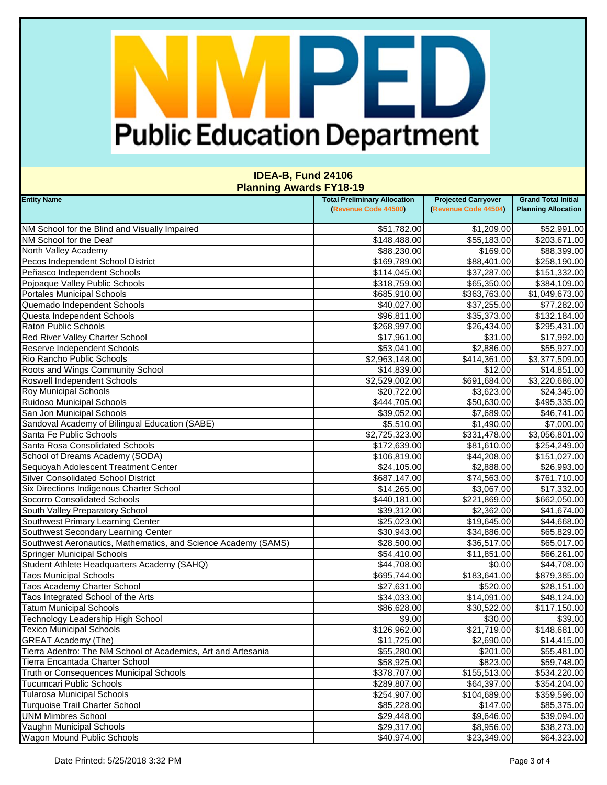## PED **Public Education Department**

| <b>Entity Name</b>                                             | <b>Total Preliminary Allocation</b> | <b>Projected Carryover</b> | <b>Grand Total Initial</b> |
|----------------------------------------------------------------|-------------------------------------|----------------------------|----------------------------|
|                                                                | (Revenue Code 44500)                | (Revenue Code 44504)       | <b>Planning Allocation</b> |
| NM School for the Blind and Visually Impaired                  | \$51,782.00                         | \$1,209.00                 | \$52,991.00                |
| NM School for the Deaf                                         | \$148,488.00                        | \$55,183.00                | \$203,671.00               |
| North Valley Academy                                           | \$88,230.00                         | \$169.00                   | \$88,399.00                |
| Pecos Independent School District                              | \$169,789.00                        | \$88,401.00                | \$258,190.00               |
| Peñasco Independent Schools                                    | \$114,045.00                        | \$37,287.00                | \$151,332.00               |
| Pojoaque Valley Public Schools                                 | \$318,759.00                        | \$65,350.00                | \$384,109.00               |
| <b>Portales Municipal Schools</b>                              | \$685,910.00                        | \$363,763.00               | \$1,049,673.00             |
| Quemado Independent Schools                                    | \$40,027.00                         | \$37,255.00                | \$77,282.00                |
| Questa Independent Schools                                     | \$96,811.00                         | \$35,373.00                | \$132,184.00               |
| <b>Raton Public Schools</b>                                    | \$268,997.00                        | \$26,434.00                | \$295,431.00               |
| <b>Red River Valley Charter School</b>                         | \$17,961.00                         | \$31.00                    | \$17,992.00                |
| Reserve Independent Schools                                    | \$53,041.00                         | \$2,886.00                 | \$55,927.00                |
| Rio Rancho Public Schools                                      | \$2,963,148.00                      | \$414,361.00               | \$3,377,509.00             |
| Roots and Wings Community School                               | \$14,839.00                         | \$12.00                    | \$14,851.00                |
| Roswell Independent Schools                                    | \$2,529,002.00                      | \$691,684.00               | \$3,220,686.00             |
| <b>Roy Municipal Schools</b>                                   | \$20,722.00                         | \$3,623.00                 | \$24,345.00                |
| <b>Ruidoso Municipal Schools</b>                               | \$444,705.00                        | \$50,630.00                | \$495,335.00               |
| San Jon Municipal Schools                                      | \$39,052.00                         | \$7,689.00                 | \$46,741.00                |
| Sandoval Academy of Bilingual Education (SABE)                 | \$5,510.00                          | \$1,490.00                 | \$7,000.00                 |
| Santa Fe Public Schools                                        | \$2,725,323.00                      | \$331,478.00               | \$3,056,801.00             |
| Santa Rosa Consolidated Schools                                | \$172,639.00                        | \$81,610.00                | \$254,249.00               |
| School of Dreams Academy (SODA)                                | \$106,819.00                        | \$44,208.00                | \$151,027.00               |
| Sequoyah Adolescent Treatment Center                           | \$24,105.00                         | \$2,888.00                 | \$26,993.00                |
| <b>Silver Consolidated School District</b>                     | \$687,147.00                        | \$74,563.00                | \$761,710.00               |
| Six Directions Indigenous Charter School                       | \$14,265.00                         | \$3,067.00                 | \$17,332.00                |
| <b>Socorro Consolidated Schools</b>                            | \$440,181.00                        | \$221,869.00               | \$662,050.00               |
| South Valley Preparatory School                                | \$39,312.00                         | \$2,362.00                 | \$41,674.00                |
| Southwest Primary Learning Center                              | \$25,023.00                         | \$19,645.00                | \$44,668.00                |
| Southwest Secondary Learning Center                            | \$30,943.00                         | \$34,886.00                | \$65,829.00                |
| Southwest Aeronautics, Mathematics, and Science Academy (SAMS) | \$28,500.00                         | \$36,517.00                | \$65,017.00                |
| <b>Springer Municipal Schools</b>                              | \$54,410.00                         | \$11,851.00                | \$66,261.00                |
| Student Athlete Headquarters Academy (SAHQ)                    | \$44,708.00                         | \$0.00                     | \$44,708.00                |
| <b>Taos Municipal Schools</b>                                  | \$695,744.00                        | \$183,641.00               | \$879,385.00               |
| Taos Academy Charter School                                    | \$27,631.00                         | \$520.00                   | \$28,151.00                |
| Taos Integrated School of the Arts                             | \$34,033.00                         | \$14,091.00                | \$48,124.00                |
| <b>Tatum Municipal Schools</b>                                 | \$86,628.00                         | \$30,522.00                | \$117,150.00               |
| Technology Leadership High School                              | \$9.00                              | \$30.00                    | \$39.00                    |
| <b>Texico Municipal Schools</b>                                | \$126,962.00                        | \$21,719.00                | \$148,681.00               |
| <b>GREAT Academy (The)</b>                                     | \$11,725.00                         | \$2,690.00                 | \$14,415.00                |
| Tierra Adentro: The NM School of Academics, Art and Artesania  | \$55,280.00                         | \$201.00                   | \$55,481.00                |
| Tierra Encantada Charter School                                | \$58,925.00                         | \$823.00                   | \$59,748.00                |
| Truth or Consequences Municipal Schools                        | \$378,707.00                        | \$155,513.00               | \$534,220.00               |
| Tucumcari Public Schools                                       | \$289,807.00                        | \$64,397.00                | \$354,204.00               |
| <b>Tularosa Municipal Schools</b>                              | \$254,907.00                        | \$104,689.00               | \$359,596.00               |
| Turquoise Trail Charter School                                 | \$85,228.00                         | \$147.00                   | \$85,375.00                |
| <b>UNM Mimbres School</b>                                      | \$29,448.00                         | \$9,646.00                 | \$39,094.00                |
| Vaughn Municipal Schools                                       | \$29,317.00                         | \$8,956.00                 | \$38,273.00                |
| <b>Wagon Mound Public Schools</b>                              | \$40,974.00                         | \$23,349.00                | \$64,323.00                |